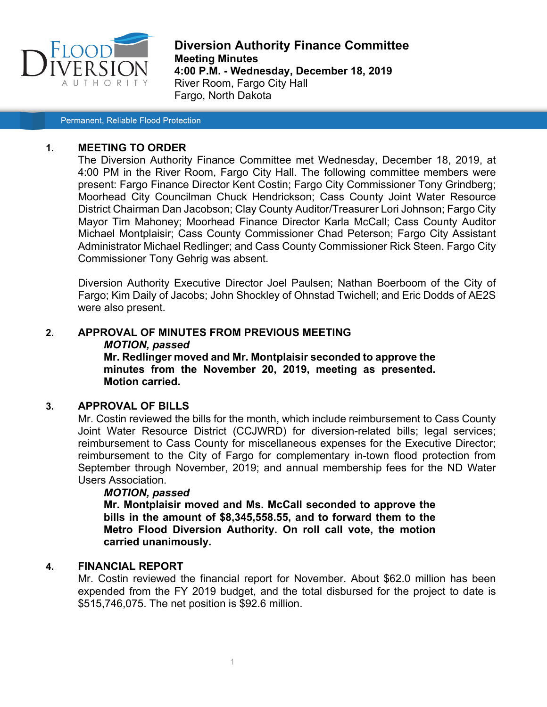

**Diversion Authority Finance Committee Meeting Minutes 4:00 P.M. - Wednesday, December 18, 2019** River Room, Fargo City Hall Fargo, North Dakota

Permanent, Reliable Flood Protection

#### **1. MEETING TO ORDER**

The Diversion Authority Finance Committee met Wednesday, December 18, 2019, at 4:00 PM in the River Room, Fargo City Hall. The following committee members were present: Fargo Finance Director Kent Costin; Fargo City Commissioner Tony Grindberg; Moorhead City Councilman Chuck Hendrickson; Cass County Joint Water Resource District Chairman Dan Jacobson; Clay County Auditor/Treasurer Lori Johnson; Fargo City Mayor Tim Mahoney; Moorhead Finance Director Karla McCall; Cass County Auditor Michael Montplaisir; Cass County Commissioner Chad Peterson; Fargo City Assistant Administrator Michael Redlinger; and Cass County Commissioner Rick Steen. Fargo City Commissioner Tony Gehrig was absent.

Diversion Authority Executive Director Joel Paulsen; Nathan Boerboom of the City of Fargo; Kim Daily of Jacobs; John Shockley of Ohnstad Twichell; and Eric Dodds of AE2S were also present.

# **2. APPROVAL OF MINUTES FROM PREVIOUS MEETING** *MOTION, passed* **Mr. Redlinger moved and Mr. Montplaisir seconded to approve the**

**minutes from the November 20, 2019, meeting as presented. Motion carried.**

#### **3. APPROVAL OF BILLS**

Mr. Costin reviewed the bills for the month, which include reimbursement to Cass County Joint Water Resource District (CCJWRD) for diversion-related bills; legal services; reimbursement to Cass County for miscellaneous expenses for the Executive Director; reimbursement to the City of Fargo for complementary in-town flood protection from September through November, 2019; and annual membership fees for the ND Water Users Association.

#### *MOTION, passed*

**Mr. Montplaisir moved and Ms. McCall seconded to approve the bills in the amount of \$8,345,558.55, and to forward them to the Metro Flood Diversion Authority. On roll call vote, the motion carried unanimously.**

#### **4. FINANCIAL REPORT**

Mr. Costin reviewed the financial report for November. About \$62.0 million has been expended from the FY 2019 budget, and the total disbursed for the project to date is \$515,746,075. The net position is \$92.6 million.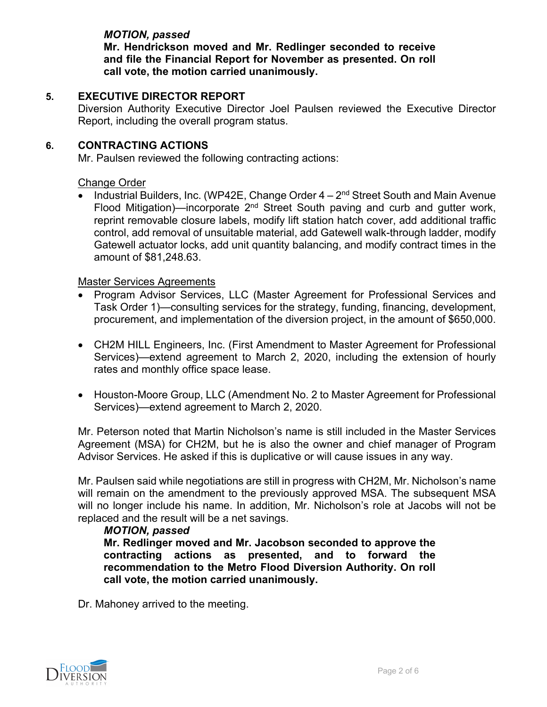## *MOTION, passed*

**Mr. Hendrickson moved and Mr. Redlinger seconded to receive and file the Financial Report for November as presented. On roll call vote, the motion carried unanimously.**

## **5. EXECUTIVE DIRECTOR REPORT**

Diversion Authority Executive Director Joel Paulsen reviewed the Executive Director Report, including the overall program status.

## **6. CONTRACTING ACTIONS**

Mr. Paulsen reviewed the following contracting actions:

## Change Order

Industrial Builders, Inc. (WP42E, Change Order  $4 - 2<sup>nd</sup>$  Street South and Main Avenue Flood Mitigation)—incorporate  $2<sup>nd</sup>$  Street South paving and curb and gutter work, reprint removable closure labels, modify lift station hatch cover, add additional traffic control, add removal of unsuitable material, add Gatewell walk-through ladder, modify Gatewell actuator locks, add unit quantity balancing, and modify contract times in the amount of \$81,248.63.

## Master Services Agreements

- Program Advisor Services, LLC (Master Agreement for Professional Services and Task Order 1)—consulting services for the strategy, funding, financing, development, procurement, and implementation of the diversion project, in the amount of \$650,000.
- CH2M HILL Engineers, Inc. (First Amendment to Master Agreement for Professional Services)—extend agreement to March 2, 2020, including the extension of hourly rates and monthly office space lease.
- Houston-Moore Group, LLC (Amendment No. 2 to Master Agreement for Professional Services)—extend agreement to March 2, 2020.

Mr. Peterson noted that Martin Nicholson's name is still included in the Master Services Agreement (MSA) for CH2M, but he is also the owner and chief manager of Program Advisor Services. He asked if this is duplicative or will cause issues in any way.

Mr. Paulsen said while negotiations are still in progress with CH2M, Mr. Nicholson's name will remain on the amendment to the previously approved MSA. The subsequent MSA will no longer include his name. In addition, Mr. Nicholson's role at Jacobs will not be replaced and the result will be a net savings.

## *MOTION, passed*

**Mr. Redlinger moved and Mr. Jacobson seconded to approve the contracting actions as presented, and to forward the recommendation to the Metro Flood Diversion Authority. On roll call vote, the motion carried unanimously.**

Dr. Mahoney arrived to the meeting.

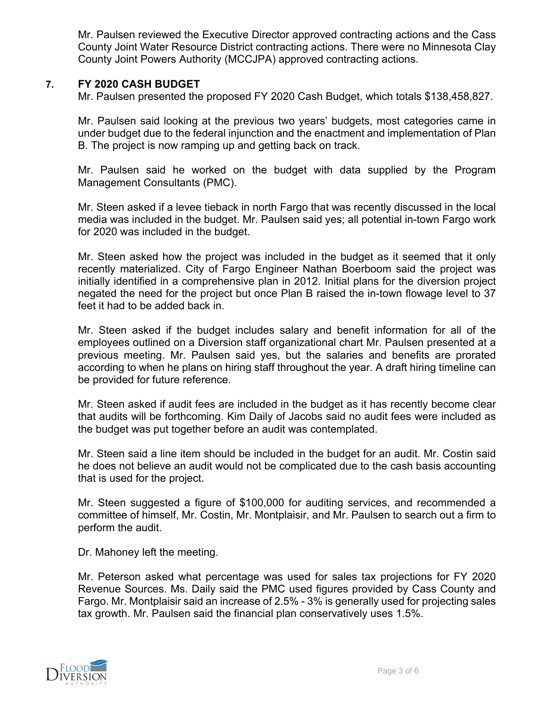Mr. Paulsen reviewed the Executive Director approved contracting actions and the Cass County Joint Water Resource District contracting actions. There were no Minnesota Clay County Joint Powers Authority (MCCJPA) approved contracting actions.

## **7. FY 2020 CASH BUDGET**

Mr. Paulsen presented the proposed FY 2020 Cash Budget, which totals \$138,458,827.

Mr. Paulsen said looking at the previous two years' budgets, most categories came in under budget due to the federal injunction and the enactment and implementation of Plan B. The project is now ramping up and getting back on track.

Mr. Paulsen said he worked on the budget with data supplied by the Program Management Consultants (PMC).

Mr. Steen asked if a levee tieback in north Fargo that was recently discussed in the local media was included in the budget. Mr. Paulsen said yes; all potential in-town Fargo work for 2020 was included in the budget.

Mr. Steen asked how the project was included in the budget as it seemed that it only recently materialized. City of Fargo Engineer Nathan Boerboom said the project was initially identified in a comprehensive plan in 2012. Initial plans for the diversion project negated the need for the project but once Plan B raised the in-town flowage level to 37 feet it had to be added back in.

Mr. Steen asked if the budget includes salary and benefit information for all of the employees outlined on a Diversion staff organizational chart Mr. Paulsen presented at a previous meeting. Mr. Paulsen said yes, but the salaries and benefits are prorated according to when he plans on hiring staff throughout the year. A draft hiring timeline can be provided for future reference.

Mr. Steen asked if audit fees are included in the budget as it has recently become clear that audits will be forthcoming. Kim Daily of Jacobs said no audit fees were included as the budget was put together before an audit was contemplated.

Mr. Steen said a line item should be included in the budget for an audit. Mr. Costin said he does not believe an audit would not be complicated due to the cash basis accounting that is used for the project.

Mr. Steen suggested a figure of \$100,000 for auditing services, and recommended a committee of himself, Mr. Costin, Mr. Montplaisir, and Mr. Paulsen to search out a firm to perform the audit.

Dr. Mahoney left the meeting.

Mr. Peterson asked what percentage was used for sales tax projections for FY 2020 Revenue Sources. Ms. Daily said the PMC used figures provided by Cass County and Fargo. Mr. Montplaisir said an increase of 2.5% - 3% is generally used for projecting sales tax growth. Mr. Paulsen said the financial plan conservatively uses 1.5%.

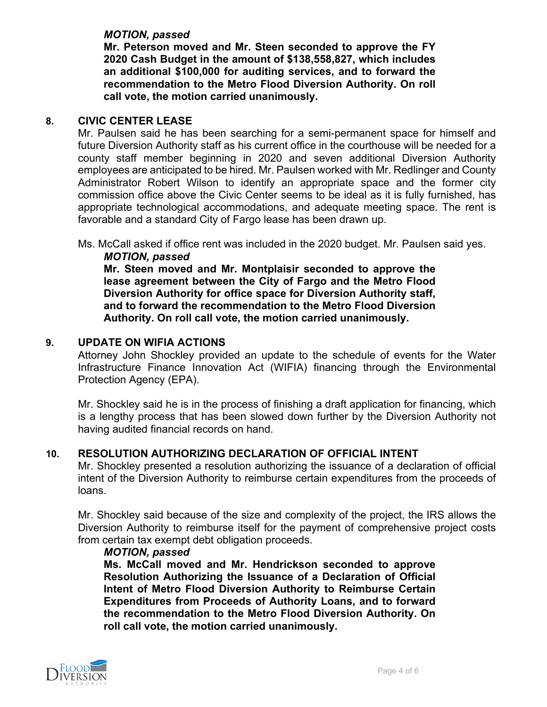## *MOTION, passed*

**Mr. Peterson moved and Mr. Steen seconded to approve the FY 2020 Cash Budget in the amount of \$138,558,827, which includes an additional \$100,000 for auditing services, and to forward the recommendation to the Metro Flood Diversion Authority. On roll call vote, the motion carried unanimously.**

#### **8. CIVIC CENTER LEASE**

Mr. Paulsen said he has been searching for a semi-permanent space for himself and future Diversion Authority staff as his current office in the courthouse will be needed for a county staff member beginning in 2020 and seven additional Diversion Authority employees are anticipated to be hired. Mr. Paulsen worked with Mr. Redlinger and County Administrator Robert Wilson to identify an appropriate space and the former city commission office above the Civic Center seems to be ideal as it is fully furnished, has appropriate technological accommodations, and adequate meeting space. The rent is favorable and a standard City of Fargo lease has been drawn up.

Ms. McCall asked if office rent was included in the 2020 budget. Mr. Paulsen said yes.

*MOTION, passed* **Mr. Steen moved and Mr. Montplaisir seconded to approve the lease agreement between the City of Fargo and the Metro Flood Diversion Authority for office space for Diversion Authority staff, and to forward the recommendation to the Metro Flood Diversion Authority. On roll call vote, the motion carried unanimously.**

#### **9. UPDATE ON WIFIA ACTIONS**

Attorney John Shockley provided an update to the schedule of events for the Water Infrastructure Finance Innovation Act (WIFIA) financing through the Environmental Protection Agency (EPA).

Mr. Shockley said he is in the process of finishing a draft application for financing, which is a lengthy process that has been slowed down further by the Diversion Authority not having audited financial records on hand.

## **10. RESOLUTION AUTHORIZING DECLARATION OF OFFICIAL INTENT**

Mr. Shockley presented a resolution authorizing the issuance of a declaration of official intent of the Diversion Authority to reimburse certain expenditures from the proceeds of loans.

Mr. Shockley said because of the size and complexity of the project, the IRS allows the Diversion Authority to reimburse itself for the payment of comprehensive project costs from certain tax exempt debt obligation proceeds.

#### *MOTION, passed*

**Ms. McCall moved and Mr. Hendrickson seconded to approve Resolution Authorizing the Issuance of a Declaration of Official Intent of Metro Flood Diversion Authority to Reimburse Certain Expenditures from Proceeds of Authority Loans, and to forward the recommendation to the Metro Flood Diversion Authority. On roll call vote, the motion carried unanimously.**

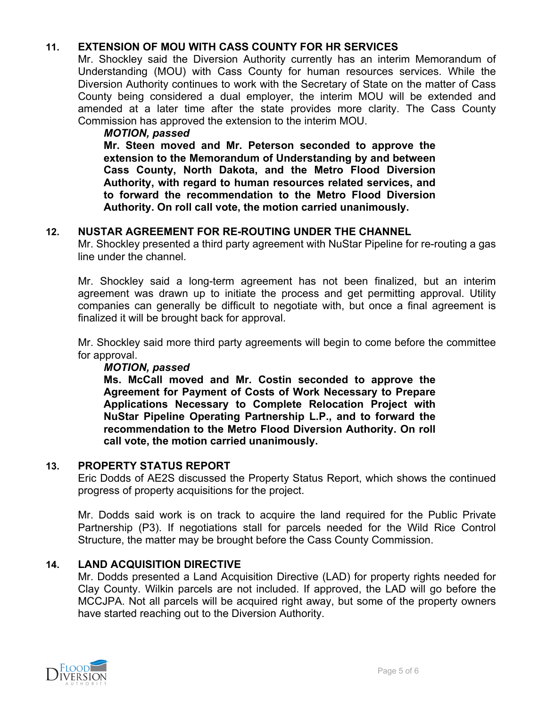## **11. EXTENSION OF MOU WITH CASS COUNTY FOR HR SERVICES**

Mr. Shockley said the Diversion Authority currently has an interim Memorandum of Understanding (MOU) with Cass County for human resources services. While the Diversion Authority continues to work with the Secretary of State on the matter of Cass County being considered a dual employer, the interim MOU will be extended and amended at a later time after the state provides more clarity. The Cass County Commission has approved the extension to the interim MOU.

#### *MOTION, passed*

**Mr. Steen moved and Mr. Peterson seconded to approve the extension to the Memorandum of Understanding by and between Cass County, North Dakota, and the Metro Flood Diversion Authority, with regard to human resources related services, and to forward the recommendation to the Metro Flood Diversion Authority. On roll call vote, the motion carried unanimously.**

## **12. NUSTAR AGREEMENT FOR RE-ROUTING UNDER THE CHANNEL**

Mr. Shockley presented a third party agreement with NuStar Pipeline for re-routing a gas line under the channel.

Mr. Shockley said a long-term agreement has not been finalized, but an interim agreement was drawn up to initiate the process and get permitting approval. Utility companies can generally be difficult to negotiate with, but once a final agreement is finalized it will be brought back for approval.

Mr. Shockley said more third party agreements will begin to come before the committee for approval.

#### *MOTION, passed*

**Ms. McCall moved and Mr. Costin seconded to approve the Agreement for Payment of Costs of Work Necessary to Prepare Applications Necessary to Complete Relocation Project with NuStar Pipeline Operating Partnership L.P., and to forward the recommendation to the Metro Flood Diversion Authority. On roll call vote, the motion carried unanimously.**

#### **13. PROPERTY STATUS REPORT**

Eric Dodds of AE2S discussed the Property Status Report, which shows the continued progress of property acquisitions for the project.

Mr. Dodds said work is on track to acquire the land required for the Public Private Partnership (P3). If negotiations stall for parcels needed for the Wild Rice Control Structure, the matter may be brought before the Cass County Commission.

## **14. LAND ACQUISITION DIRECTIVE**

Mr. Dodds presented a Land Acquisition Directive (LAD) for property rights needed for Clay County. Wilkin parcels are not included. If approved, the LAD will go before the MCCJPA. Not all parcels will be acquired right away, but some of the property owners have started reaching out to the Diversion Authority.